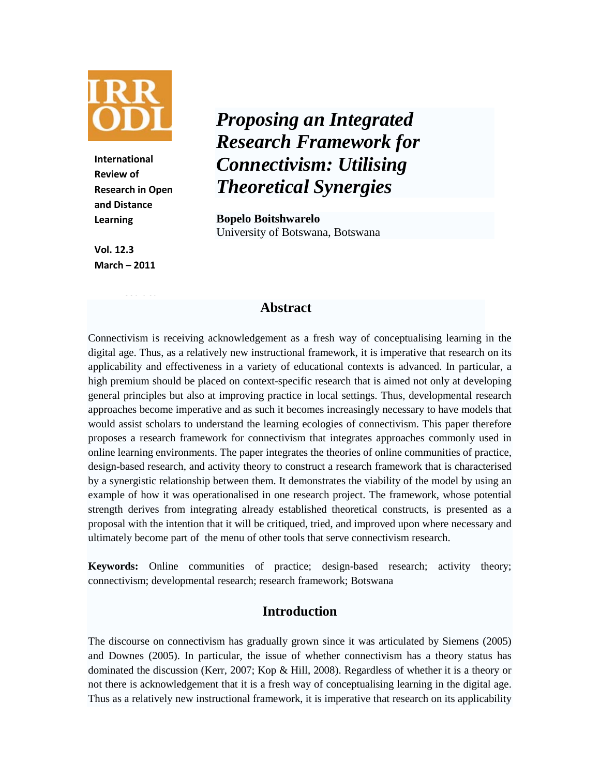

**International Review of Research in Open and Distance Learning** 

**Vol. 12.3 March – 2011**

**Abstract**

*Proposing an Integrated Research Framework for Connectivism: Utilising Theoretical Synergies*

**Bopelo Boitshwarelo** University of Botswana, Botswana

### **Abstract**

Connectivism is receiving acknowledgement as a fresh way of conceptualising learning in the digital age. Thus, as a relatively new instructional framework, it is imperative that research on its applicability and effectiveness in a variety of educational contexts is advanced. In particular, a high premium should be placed on context-specific research that is aimed not only at developing general principles but also at improving practice in local settings. Thus, developmental research approaches become imperative and as such it becomes increasingly necessary to have models that would assist scholars to understand the learning ecologies of connectivism. This paper therefore proposes a research framework for connectivism that integrates approaches commonly used in online learning environments. The paper integrates the theories of online communities of practice, design-based research, and activity theory to construct a research framework that is characterised by a synergistic relationship between them. It demonstrates the viability of the model by using an example of how it was operationalised in one research project. The framework, whose potential strength derives from integrating already established theoretical constructs, is presented as a proposal with the intention that it will be critiqued, tried, and improved upon where necessary and ultimately become part of the menu of other tools that serve connectivism research.

**Keywords:** Online communities of practice; design-based research; activity theory; connectivism; developmental research; research framework; Botswana

### **Introduction**

The discourse on connectivism has gradually grown since it was articulated by Siemens (2005) and Downes (2005). In particular, the issue of whether connectivism has a theory status has dominated the discussion (Kerr, 2007; Kop & Hill, 2008). Regardless of whether it is a theory or not there is acknowledgement that it is a fresh way of conceptualising learning in the digital age. Thus as a relatively new instructional framework, it is imperative that research on its applicability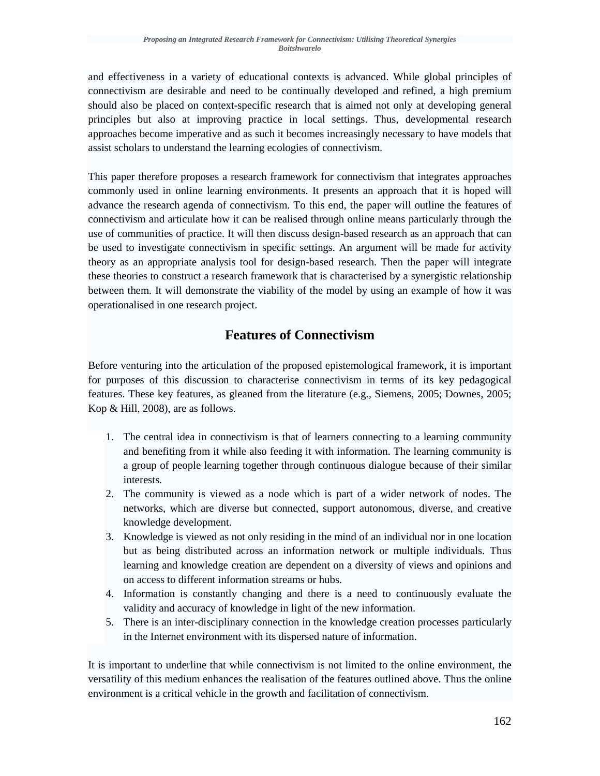and effectiveness in a variety of educational contexts is advanced. While global principles of connectivism are desirable and need to be continually developed and refined, a high premium should also be placed on context-specific research that is aimed not only at developing general principles but also at improving practice in local settings. Thus, developmental research approaches become imperative and as such it becomes increasingly necessary to have models that assist scholars to understand the learning ecologies of connectivism.

This paper therefore proposes a research framework for connectivism that integrates approaches commonly used in online learning environments. It presents an approach that it is hoped will advance the research agenda of connectivism. To this end, the paper will outline the features of connectivism and articulate how it can be realised through online means particularly through the use of communities of practice. It will then discuss design-based research as an approach that can be used to investigate connectivism in specific settings. An argument will be made for activity theory as an appropriate analysis tool for design-based research. Then the paper will integrate these theories to construct a research framework that is characterised by a synergistic relationship between them. It will demonstrate the viability of the model by using an example of how it was operationalised in one research project.

## **Features of Connectivism**

Before venturing into the articulation of the proposed epistemological framework, it is important for purposes of this discussion to characterise connectivism in terms of its key pedagogical features. These key features, as gleaned from the literature (e.g., Siemens, 2005; Downes, 2005; Kop & Hill, 2008), are as follows.

- 1. The central idea in connectivism is that of learners connecting to a learning community and benefiting from it while also feeding it with information. The learning community is a group of people learning together through continuous dialogue because of their similar interests.
- 2. The community is viewed as a node which is part of a wider network of nodes. The networks, which are diverse but connected, support autonomous, diverse, and creative knowledge development.
- 3. Knowledge is viewed as not only residing in the mind of an individual nor in one location but as being distributed across an information network or multiple individuals. Thus learning and knowledge creation are dependent on a diversity of views and opinions and on access to different information streams or hubs.
- 4. Information is constantly changing and there is a need to continuously evaluate the validity and accuracy of knowledge in light of the new information.
- 5. There is an inter-disciplinary connection in the knowledge creation processes particularly in the Internet environment with its dispersed nature of information.

It is important to underline that while connectivism is not limited to the online environment, the versatility of this medium enhances the realisation of the features outlined above. Thus the online environment is a critical vehicle in the growth and facilitation of connectivism.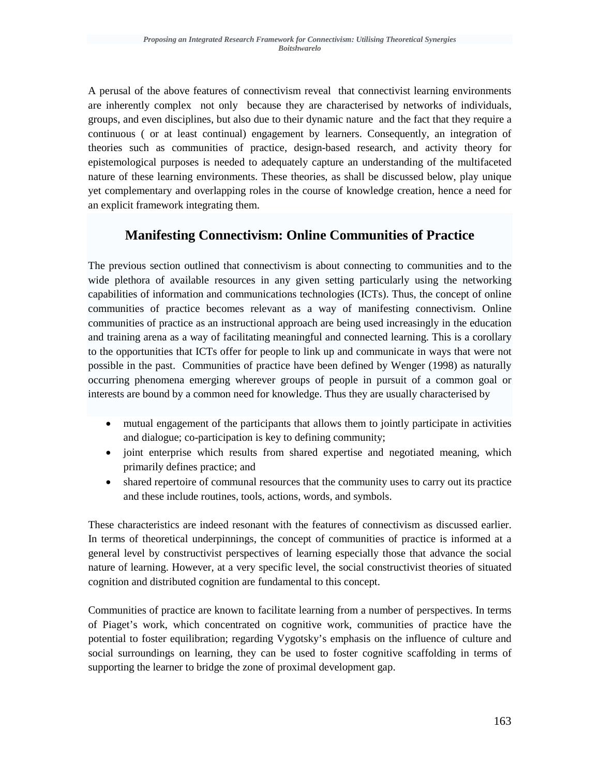A perusal of the above features of connectivism reveal that connectivist learning environments are inherently complex not only because they are characterised by networks of individuals, groups, and even disciplines, but also due to their dynamic nature and the fact that they require a continuous ( or at least continual) engagement by learners. Consequently, an integration of theories such as communities of practice, design-based research, and activity theory for epistemological purposes is needed to adequately capture an understanding of the multifaceted nature of these learning environments. These theories, as shall be discussed below, play unique yet complementary and overlapping roles in the course of knowledge creation, hence a need for an explicit framework integrating them.

## **Manifesting Connectivism: Online Communities of Practice**

The previous section outlined that connectivism is about connecting to communities and to the wide plethora of available resources in any given setting particularly using the networking capabilities of information and communications technologies (ICTs). Thus, the concept of online communities of practice becomes relevant as a way of manifesting connectivism. Online communities of practice as an instructional approach are being used increasingly in the education and training arena as a way of facilitating meaningful and connected learning. This is a corollary to the opportunities that ICTs offer for people to link up and communicate in ways that were not possible in the past. Communities of practice have been defined by Wenger (1998) as naturally occurring phenomena emerging wherever groups of people in pursuit of a common goal or interests are bound by a common need for knowledge. Thus they are usually characterised by

- mutual engagement of the participants that allows them to jointly participate in activities and dialogue; co-participation is key to defining community;
- joint enterprise which results from shared expertise and negotiated meaning, which primarily defines practice; and
- shared repertoire of communal resources that the community uses to carry out its practice and these include routines, tools, actions, words, and symbols.

These characteristics are indeed resonant with the features of connectivism as discussed earlier. In terms of theoretical underpinnings, the concept of communities of practice is informed at a general level by constructivist perspectives of learning especially those that advance the social nature of learning. However, at a very specific level, the social constructivist theories of situated cognition and distributed cognition are fundamental to this concept.

Communities of practice are known to facilitate learning from a number of perspectives. In terms of Piaget's work, which concentrated on cognitive work, communities of practice have the potential to foster equilibration; regarding Vygotsky's emphasis on the influence of culture and social surroundings on learning, they can be used to foster cognitive scaffolding in terms of supporting the learner to bridge the zone of proximal development gap.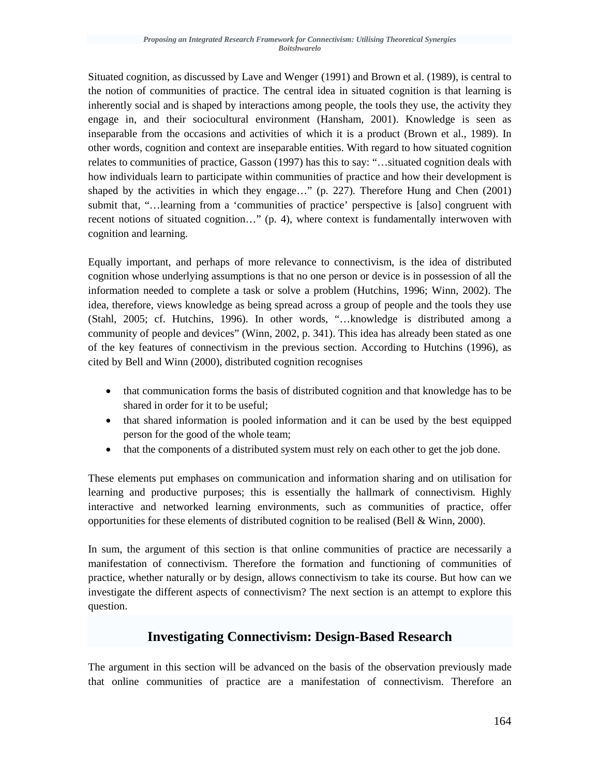Situated cognition, as discussed by Lave and Wenger (1991) and Brown et al. (1989), is central to the notion of communities of practice. The central idea in situated cognition is that learning is inherently social and is shaped by interactions among people, the tools they use, the activity they engage in, and their sociocultural environment (Hansham, 2001). Knowledge is seen as inseparable from the occasions and activities of which it is a product (Brown et al., 1989). In other words, cognition and context are inseparable entities. With regard to how situated cognition relates to communities of practice, Gasson (1997) has this to say: "…situated cognition deals with how individuals learn to participate within communities of practice and how their development is shaped by the activities in which they engage…" (p. 227). Therefore Hung and Chen (2001) submit that, "…learning from a 'communities of practice' perspective is [also] congruent with recent notions of situated cognition…" (p. 4), where context is fundamentally interwoven with cognition and learning.

Equally important, and perhaps of more relevance to connectivism, is the idea of distributed cognition whose underlying assumptions is that no one person or device is in possession of all the information needed to complete a task or solve a problem (Hutchins, 1996; Winn, 2002). The idea, therefore, views knowledge as being spread across a group of people and the tools they use (Stahl, 2005; cf. Hutchins, 1996). In other words, "…knowledge is distributed among a community of people and devices" (Winn, 2002, p. 341). This idea has already been stated as one of the key features of connectivism in the previous section. According to Hutchins (1996), as cited by Bell and Winn (2000), distributed cognition recognises

- that communication forms the basis of distributed cognition and that knowledge has to be shared in order for it to be useful;
- that shared information is pooled information and it can be used by the best equipped person for the good of the whole team;
- that the components of a distributed system must rely on each other to get the job done.

These elements put emphases on communication and information sharing and on utilisation for learning and productive purposes; this is essentially the hallmark of connectivism. Highly interactive and networked learning environments, such as communities of practice, offer opportunities for these elements of distributed cognition to be realised (Bell & Winn, 2000).

In sum, the argument of this section is that online communities of practice are necessarily a manifestation of connectivism. Therefore the formation and functioning of communities of practice, whether naturally or by design, allows connectivism to take its course. But how can we investigate the different aspects of connectivism? The next section is an attempt to explore this question.

## **Investigating Connectivism: Design-Based Research**

The argument in this section will be advanced on the basis of the observation previously made that online communities of practice are a manifestation of connectivism. Therefore an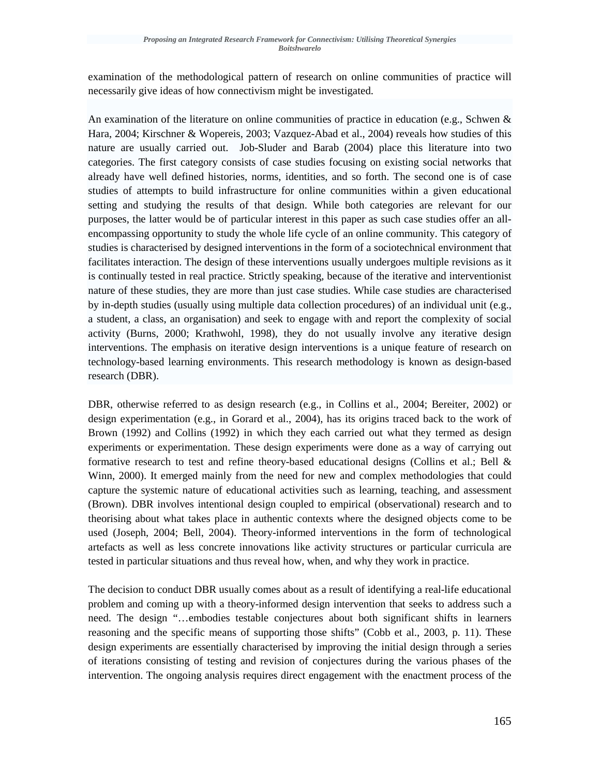examination of the methodological pattern of research on online communities of practice will necessarily give ideas of how connectivism might be investigated.

An examination of the literature on online communities of practice in education (e.g., Schwen  $\&$ Hara, 2004; Kirschner & Wopereis, 2003; Vazquez-Abad et al., 2004) reveals how studies of this nature are usually carried out. Job-Sluder and Barab (2004) place this literature into two categories. The first category consists of case studies focusing on existing social networks that already have well defined histories, norms, identities, and so forth. The second one is of case studies of attempts to build infrastructure for online communities within a given educational setting and studying the results of that design. While both categories are relevant for our purposes, the latter would be of particular interest in this paper as such case studies offer an allencompassing opportunity to study the whole life cycle of an online community. This category of studies is characterised by designed interventions in the form of a sociotechnical environment that facilitates interaction. The design of these interventions usually undergoes multiple revisions as it is continually tested in real practice. Strictly speaking, because of the iterative and interventionist nature of these studies, they are more than just case studies. While case studies are characterised by in-depth studies (usually using multiple data collection procedures) of an individual unit (e.g., a student, a class, an organisation) and seek to engage with and report the complexity of social activity (Burns, 2000; Krathwohl, 1998), they do not usually involve any iterative design interventions. The emphasis on iterative design interventions is a unique feature of research on technology-based learning environments. This research methodology is known as design-based research (DBR).

DBR, otherwise referred to as design research (e.g., in Collins et al., 2004; Bereiter, 2002) or design experimentation (e.g., in Gorard et al., 2004), has its origins traced back to the work of Brown (1992) and Collins (1992) in which they each carried out what they termed as design experiments or experimentation. These design experiments were done as a way of carrying out formative research to test and refine theory-based educational designs (Collins et al.; Bell & Winn, 2000). It emerged mainly from the need for new and complex methodologies that could capture the systemic nature of educational activities such as learning, teaching, and assessment (Brown). DBR involves intentional design coupled to empirical (observational) research and to theorising about what takes place in authentic contexts where the designed objects come to be used (Joseph, 2004; Bell, 2004). Theory-informed interventions in the form of technological artefacts as well as less concrete innovations like activity structures or particular curricula are tested in particular situations and thus reveal how, when, and why they work in practice.

The decision to conduct DBR usually comes about as a result of identifying a real-life educational problem and coming up with a theory-informed design intervention that seeks to address such a need. The design "…embodies testable conjectures about both significant shifts in learners reasoning and the specific means of supporting those shifts" (Cobb et al., 2003, p. 11). These design experiments are essentially characterised by improving the initial design through a series of iterations consisting of testing and revision of conjectures during the various phases of the intervention. The ongoing analysis requires direct engagement with the enactment process of the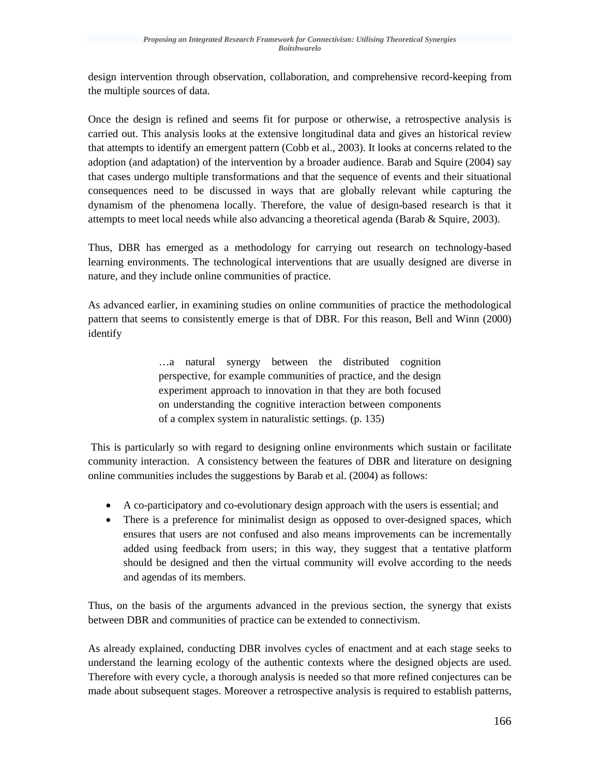design intervention through observation, collaboration, and comprehensive record-keeping from the multiple sources of data.

Once the design is refined and seems fit for purpose or otherwise, a retrospective analysis is carried out. This analysis looks at the extensive longitudinal data and gives an historical review that attempts to identify an emergent pattern (Cobb et al., 2003). It looks at concerns related to the adoption (and adaptation) of the intervention by a broader audience. Barab and Squire (2004) say that cases undergo multiple transformations and that the sequence of events and their situational consequences need to be discussed in ways that are globally relevant while capturing the dynamism of the phenomena locally. Therefore, the value of design-based research is that it attempts to meet local needs while also advancing a theoretical agenda (Barab & Squire, 2003).

Thus, DBR has emerged as a methodology for carrying out research on technology-based learning environments. The technological interventions that are usually designed are diverse in nature, and they include online communities of practice.

As advanced earlier, in examining studies on online communities of practice the methodological pattern that seems to consistently emerge is that of DBR. For this reason, Bell and Winn (2000) identify

> …a natural synergy between the distributed cognition perspective, for example communities of practice, and the design experiment approach to innovation in that they are both focused on understanding the cognitive interaction between components of a complex system in naturalistic settings. (p. 135)

This is particularly so with regard to designing online environments which sustain or facilitate community interaction. A consistency between the features of DBR and literature on designing online communities includes the suggestions by Barab et al. (2004) as follows:

- A co-participatory and co-evolutionary design approach with the users is essential; and
- There is a preference for minimalist design as opposed to over-designed spaces, which ensures that users are not confused and also means improvements can be incrementally added using feedback from users; in this way, they suggest that a tentative platform should be designed and then the virtual community will evolve according to the needs and agendas of its members.

Thus, on the basis of the arguments advanced in the previous section, the synergy that exists between DBR and communities of practice can be extended to connectivism.

As already explained, conducting DBR involves cycles of enactment and at each stage seeks to understand the learning ecology of the authentic contexts where the designed objects are used. Therefore with every cycle, a thorough analysis is needed so that more refined conjectures can be made about subsequent stages. Moreover a retrospective analysis is required to establish patterns,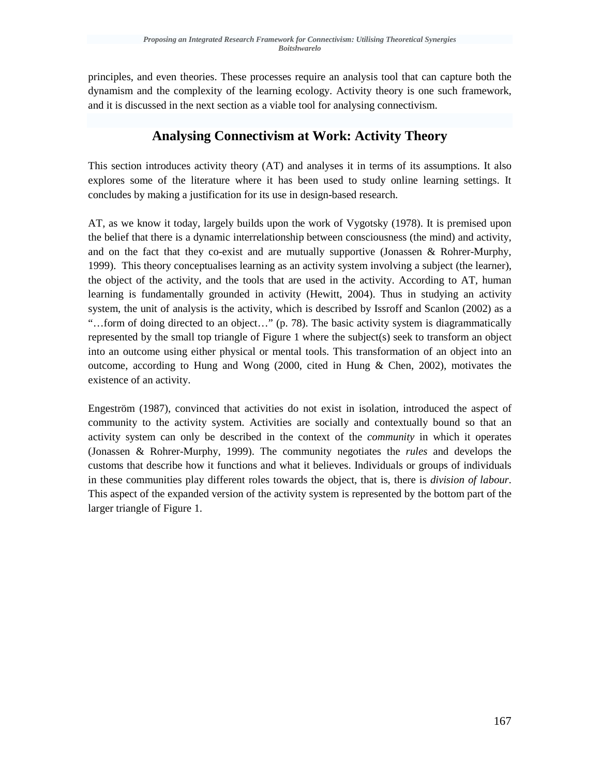principles, and even theories. These processes require an analysis tool that can capture both the dynamism and the complexity of the learning ecology. Activity theory is one such framework, and it is discussed in the next section as a viable tool for analysing connectivism.

## **Analysing Connectivism at Work: Activity Theory**

This section introduces activity theory (AT) and analyses it in terms of its assumptions. It also explores some of the literature where it has been used to study online learning settings. It concludes by making a justification for its use in design-based research.

AT, as we know it today, largely builds upon the work of Vygotsky (1978). It is premised upon the belief that there is a dynamic interrelationship between consciousness (the mind) and activity, and on the fact that they co-exist and are mutually supportive (Jonassen & Rohrer-Murphy, 1999). This theory conceptualises learning as an activity system involving a subject (the learner), the object of the activity, and the tools that are used in the activity. According to AT, human learning is fundamentally grounded in activity (Hewitt, 2004). Thus in studying an activity system, the unit of analysis is the activity, which is described by Issroff and Scanlon (2002) as a "…form of doing directed to an object…" (p. 78). The basic activity system is diagrammatically represented by the small top triangle of Figure 1 where the subject(s) seek to transform an object into an outcome using either physical or mental tools. This transformation of an object into an outcome, according to Hung and Wong (2000, cited in Hung & Chen, 2002), motivates the existence of an activity.

Engeström (1987), convinced that activities do not exist in isolation, introduced the aspect of community to the activity system. Activities are socially and contextually bound so that an activity system can only be described in the context of the *community* in which it operates (Jonassen & Rohrer-Murphy, 1999). The community negotiates the *rules* and develops the customs that describe how it functions and what it believes. Individuals or groups of individuals in these communities play different roles towards the object, that is, there is *division of labour*. This aspect of the expanded version of the activity system is represented by the bottom part of the larger triangle of Figure 1.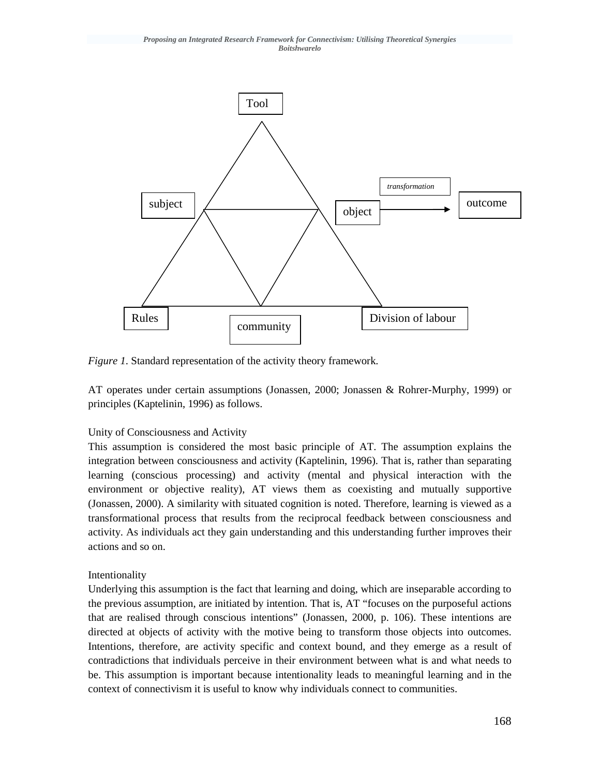

*Figure 1*. Standard representation of the activity theory framework.

AT operates under certain assumptions (Jonassen, 2000; Jonassen & Rohrer-Murphy, 1999) or principles (Kaptelinin, 1996) as follows.

#### Unity of Consciousness and Activity

This assumption is considered the most basic principle of AT. The assumption explains the integration between consciousness and activity (Kaptelinin, 1996). That is, rather than separating learning (conscious processing) and activity (mental and physical interaction with the environment or objective reality), AT views them as coexisting and mutually supportive (Jonassen, 2000). A similarity with situated cognition is noted. Therefore, learning is viewed as a transformational process that results from the reciprocal feedback between consciousness and activity. As individuals act they gain understanding and this understanding further improves their actions and so on.

#### Intentionality

Underlying this assumption is the fact that learning and doing, which are inseparable according to the previous assumption, are initiated by intention. That is, AT "focuses on the purposeful actions that are realised through conscious intentions" (Jonassen, 2000, p. 106). These intentions are directed at objects of activity with the motive being to transform those objects into outcomes. Intentions, therefore, are activity specific and context bound, and they emerge as a result of contradictions that individuals perceive in their environment between what is and what needs to be. This assumption is important because intentionality leads to meaningful learning and in the context of connectivism it is useful to know why individuals connect to communities.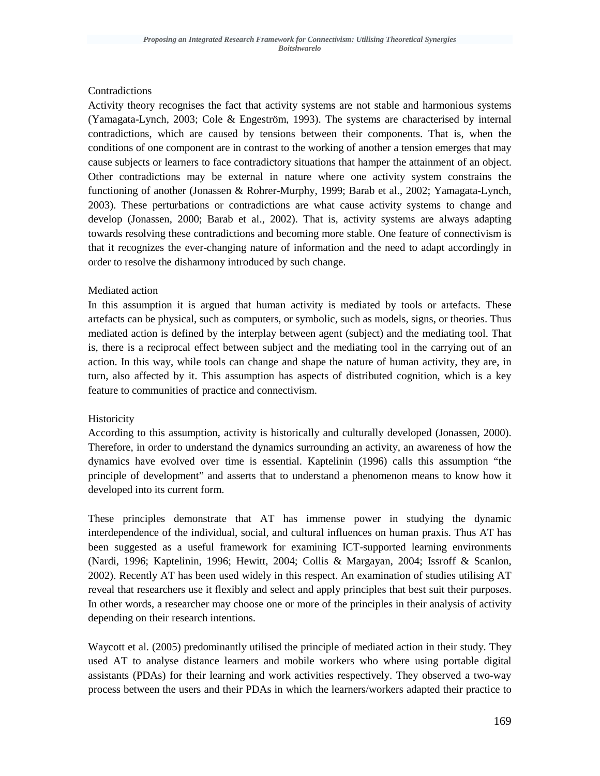#### Contradictions

Activity theory recognises the fact that activity systems are not stable and harmonious systems (Yamagata-Lynch, 2003; Cole & Engeström, 1993). The systems are characterised by internal contradictions, which are caused by tensions between their components. That is, when the conditions of one component are in contrast to the working of another a tension emerges that may cause subjects or learners to face contradictory situations that hamper the attainment of an object. Other contradictions may be external in nature where one activity system constrains the functioning of another (Jonassen & Rohrer-Murphy, 1999; Barab et al., 2002; Yamagata-Lynch, 2003). These perturbations or contradictions are what cause activity systems to change and develop (Jonassen, 2000; Barab et al., 2002). That is, activity systems are always adapting towards resolving these contradictions and becoming more stable. One feature of connectivism is that it recognizes the ever-changing nature of information and the need to adapt accordingly in order to resolve the disharmony introduced by such change.

#### Mediated action

In this assumption it is argued that human activity is mediated by tools or artefacts. These artefacts can be physical, such as computers, or symbolic, such as models, signs, or theories. Thus mediated action is defined by the interplay between agent (subject) and the mediating tool. That is, there is a reciprocal effect between subject and the mediating tool in the carrying out of an action. In this way, while tools can change and shape the nature of human activity, they are, in turn, also affected by it. This assumption has aspects of distributed cognition, which is a key feature to communities of practice and connectivism.

#### **Historicity**

According to this assumption, activity is historically and culturally developed (Jonassen, 2000). Therefore, in order to understand the dynamics surrounding an activity, an awareness of how the dynamics have evolved over time is essential. Kaptelinin (1996) calls this assumption "the principle of development" and asserts that to understand a phenomenon means to know how it developed into its current form.

These principles demonstrate that AT has immense power in studying the dynamic interdependence of the individual, social, and cultural influences on human praxis. Thus AT has been suggested as a useful framework for examining ICT-supported learning environments (Nardi, 1996; Kaptelinin, 1996; Hewitt, 2004; Collis & Margayan, 2004; Issroff & Scanlon, 2002). Recently AT has been used widely in this respect. An examination of studies utilising AT reveal that researchers use it flexibly and select and apply principles that best suit their purposes. In other words, a researcher may choose one or more of the principles in their analysis of activity depending on their research intentions.

Waycott et al. (2005) predominantly utilised the principle of mediated action in their study. They used AT to analyse distance learners and mobile workers who where using portable digital assistants (PDAs) for their learning and work activities respectively. They observed a two-way process between the users and their PDAs in which the learners/workers adapted their practice to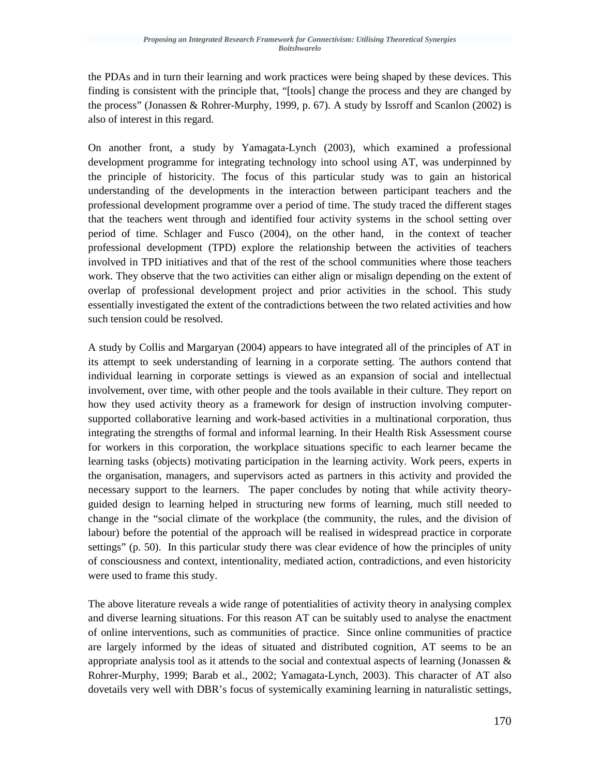the PDAs and in turn their learning and work practices were being shaped by these devices. This finding is consistent with the principle that, "[tools] change the process and they are changed by the process" (Jonassen & Rohrer-Murphy, 1999, p. 67). A study by Issroff and Scanlon (2002) is also of interest in this regard.

On another front, a study by Yamagata-Lynch (2003), which examined a professional development programme for integrating technology into school using AT, was underpinned by the principle of historicity. The focus of this particular study was to gain an historical understanding of the developments in the interaction between participant teachers and the professional development programme over a period of time. The study traced the different stages that the teachers went through and identified four activity systems in the school setting over period of time. Schlager and Fusco (2004), on the other hand, in the context of teacher professional development (TPD) explore the relationship between the activities of teachers involved in TPD initiatives and that of the rest of the school communities where those teachers work. They observe that the two activities can either align or misalign depending on the extent of overlap of professional development project and prior activities in the school. This study essentially investigated the extent of the contradictions between the two related activities and how such tension could be resolved.

A study by Collis and Margaryan (2004) appears to have integrated all of the principles of AT in its attempt to seek understanding of learning in a corporate setting. The authors contend that individual learning in corporate settings is viewed as an expansion of social and intellectual involvement, over time, with other people and the tools available in their culture. They report on how they used activity theory as a framework for design of instruction involving computersupported collaborative learning and work-based activities in a multinational corporation, thus integrating the strengths of formal and informal learning. In their Health Risk Assessment course for workers in this corporation, the workplace situations specific to each learner became the learning tasks (objects) motivating participation in the learning activity. Work peers, experts in the organisation, managers, and supervisors acted as partners in this activity and provided the necessary support to the learners. The paper concludes by noting that while activity theoryguided design to learning helped in structuring new forms of learning, much still needed to change in the "social climate of the workplace (the community, the rules, and the division of labour) before the potential of the approach will be realised in widespread practice in corporate settings" (p. 50). In this particular study there was clear evidence of how the principles of unity of consciousness and context, intentionality, mediated action, contradictions, and even historicity were used to frame this study.

The above literature reveals a wide range of potentialities of activity theory in analysing complex and diverse learning situations. For this reason AT can be suitably used to analyse the enactment of online interventions, such as communities of practice. Since online communities of practice are largely informed by the ideas of situated and distributed cognition, AT seems to be an appropriate analysis tool as it attends to the social and contextual aspects of learning (Jonassen  $\&$ Rohrer-Murphy, 1999; Barab et al., 2002; Yamagata-Lynch, 2003). This character of AT also dovetails very well with DBR's focus of systemically examining learning in naturalistic settings,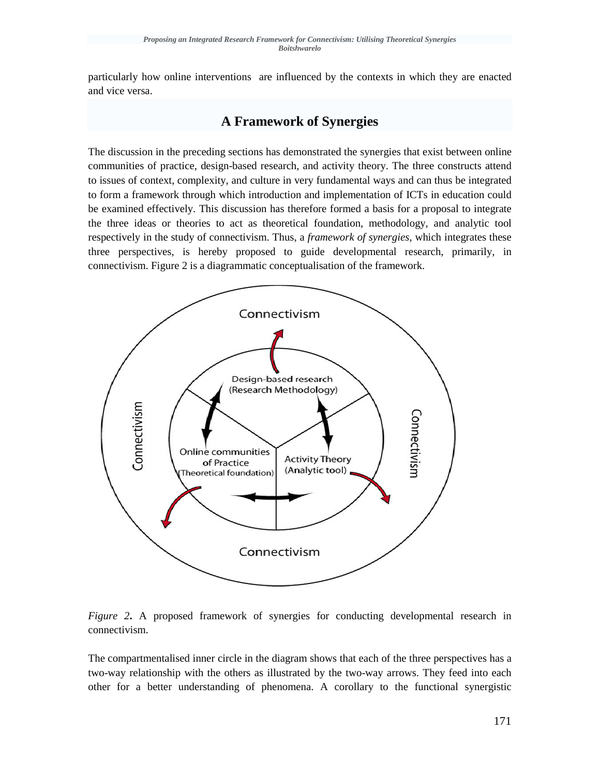particularly how online interventions are influenced by the contexts in which they are enacted and vice versa.

## **A Framework of Synergies**

The discussion in the preceding sections has demonstrated the synergies that exist between online communities of practice, design-based research, and activity theory. The three constructs attend to issues of context, complexity, and culture in very fundamental ways and can thus be integrated to form a framework through which introduction and implementation of ICTs in education could be examined effectively. This discussion has therefore formed a basis for a proposal to integrate the three ideas or theories to act as theoretical foundation, methodology, and analytic tool respectively in the study of connectivism. Thus, a *framework of synergies,* which integrates these three perspectives, is hereby proposed to guide developmental research, primarily, in connectivism. Figure 2 is a diagrammatic conceptualisation of the framework.



*Figure 2***.** A proposed framework of synergies for conducting developmental research in connectivism.

The compartmentalised inner circle in the diagram shows that each of the three perspectives has a two-way relationship with the others as illustrated by the two-way arrows. They feed into each other for a better understanding of phenomena. A corollary to the functional synergistic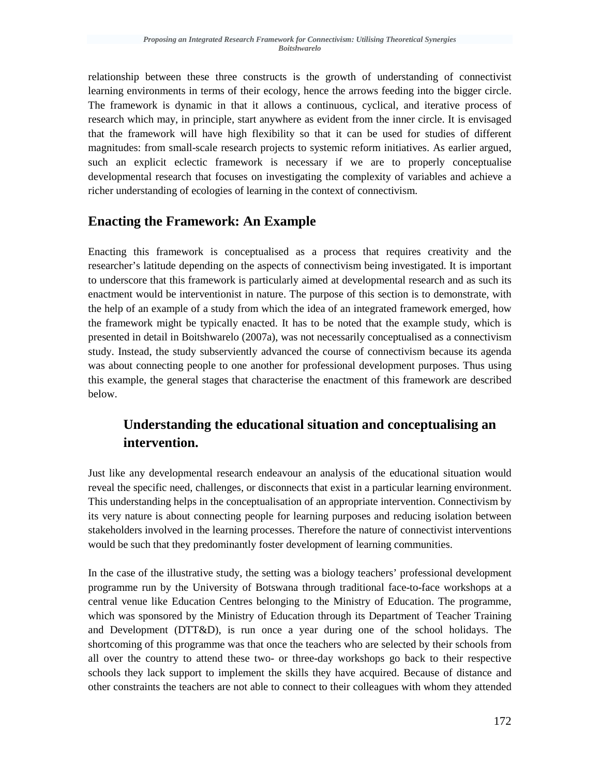relationship between these three constructs is the growth of understanding of connectivist learning environments in terms of their ecology, hence the arrows feeding into the bigger circle. The framework is dynamic in that it allows a continuous, cyclical, and iterative process of research which may, in principle, start anywhere as evident from the inner circle. It is envisaged that the framework will have high flexibility so that it can be used for studies of different magnitudes: from small-scale research projects to systemic reform initiatives. As earlier argued, such an explicit eclectic framework is necessary if we are to properly conceptualise developmental research that focuses on investigating the complexity of variables and achieve a richer understanding of ecologies of learning in the context of connectivism.

## **Enacting the Framework: An Example**

Enacting this framework is conceptualised as a process that requires creativity and the researcher's latitude depending on the aspects of connectivism being investigated. It is important to underscore that this framework is particularly aimed at developmental research and as such its enactment would be interventionist in nature. The purpose of this section is to demonstrate, with the help of an example of a study from which the idea of an integrated framework emerged, how the framework might be typically enacted. It has to be noted that the example study, which is presented in detail in Boitshwarelo (2007a), was not necessarily conceptualised as a connectivism study. Instead, the study subserviently advanced the course of connectivism because its agenda was about connecting people to one another for professional development purposes. Thus using this example, the general stages that characterise the enactment of this framework are described below.

# **Understanding the educational situation and conceptualising an intervention.**

Just like any developmental research endeavour an analysis of the educational situation would reveal the specific need, challenges, or disconnects that exist in a particular learning environment. This understanding helps in the conceptualisation of an appropriate intervention. Connectivism by its very nature is about connecting people for learning purposes and reducing isolation between stakeholders involved in the learning processes. Therefore the nature of connectivist interventions would be such that they predominantly foster development of learning communities.

In the case of the illustrative study, the setting was a biology teachers' professional development programme run by the University of Botswana through traditional face-to-face workshops at a central venue like Education Centres belonging to the Ministry of Education. The programme, which was sponsored by the Ministry of Education through its Department of Teacher Training and Development (DTT&D), is run once a year during one of the school holidays. The shortcoming of this programme was that once the teachers who are selected by their schools from all over the country to attend these two- or three-day workshops go back to their respective schools they lack support to implement the skills they have acquired. Because of distance and other constraints the teachers are not able to connect to their colleagues with whom they attended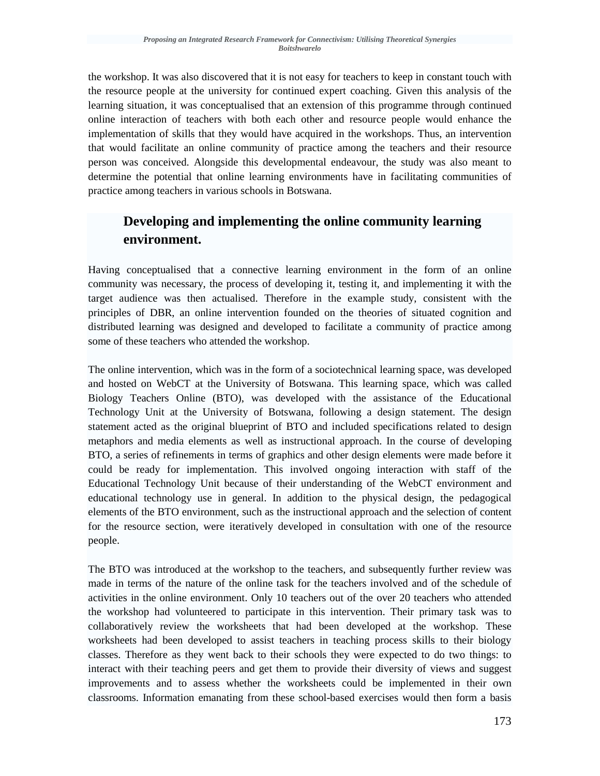the workshop. It was also discovered that it is not easy for teachers to keep in constant touch with the resource people at the university for continued expert coaching. Given this analysis of the learning situation, it was conceptualised that an extension of this programme through continued online interaction of teachers with both each other and resource people would enhance the implementation of skills that they would have acquired in the workshops. Thus, an intervention that would facilitate an online community of practice among the teachers and their resource person was conceived. Alongside this developmental endeavour, the study was also meant to determine the potential that online learning environments have in facilitating communities of practice among teachers in various schools in Botswana.

## **Developing and implementing the online community learning environment.**

Having conceptualised that a connective learning environment in the form of an online community was necessary, the process of developing it, testing it, and implementing it with the target audience was then actualised. Therefore in the example study, consistent with the principles of DBR, an online intervention founded on the theories of situated cognition and distributed learning was designed and developed to facilitate a community of practice among some of these teachers who attended the workshop.

The online intervention, which was in the form of a sociotechnical learning space, was developed and hosted on WebCT at the University of Botswana. This learning space, which was called Biology Teachers Online (BTO), was developed with the assistance of the Educational Technology Unit at the University of Botswana, following a design statement. The design statement acted as the original blueprint of BTO and included specifications related to design metaphors and media elements as well as instructional approach. In the course of developing BTO, a series of refinements in terms of graphics and other design elements were made before it could be ready for implementation. This involved ongoing interaction with staff of the Educational Technology Unit because of their understanding of the WebCT environment and educational technology use in general. In addition to the physical design, the pedagogical elements of the BTO environment, such as the instructional approach and the selection of content for the resource section, were iteratively developed in consultation with one of the resource people.

The BTO was introduced at the workshop to the teachers, and subsequently further review was made in terms of the nature of the online task for the teachers involved and of the schedule of activities in the online environment. Only 10 teachers out of the over 20 teachers who attended the workshop had volunteered to participate in this intervention. Their primary task was to collaboratively review the worksheets that had been developed at the workshop. These worksheets had been developed to assist teachers in teaching process skills to their biology classes. Therefore as they went back to their schools they were expected to do two things: to interact with their teaching peers and get them to provide their diversity of views and suggest improvements and to assess whether the worksheets could be implemented in their own classrooms. Information emanating from these school-based exercises would then form a basis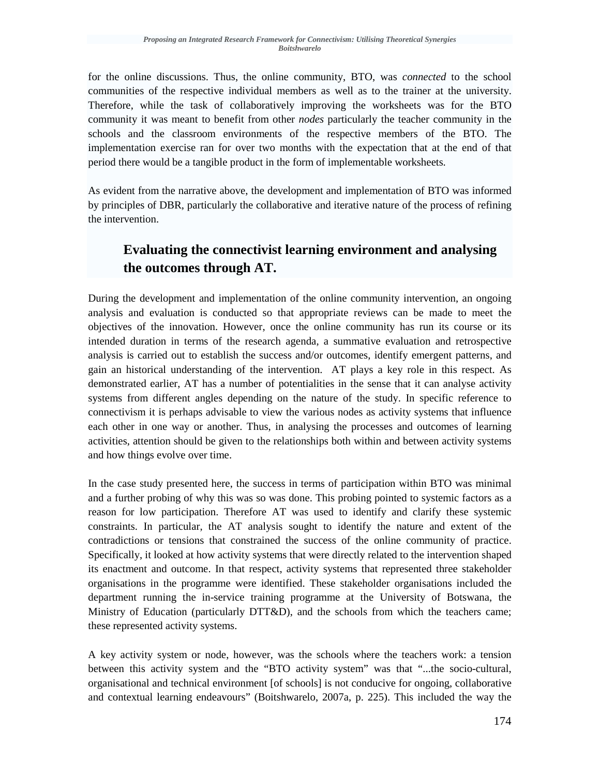for the online discussions. Thus, the online community, BTO, was *connected* to the school communities of the respective individual members as well as to the trainer at the university. Therefore, while the task of collaboratively improving the worksheets was for the BTO community it was meant to benefit from other *nodes* particularly the teacher community in the schools and the classroom environments of the respective members of the BTO. The implementation exercise ran for over two months with the expectation that at the end of that period there would be a tangible product in the form of implementable worksheets.

As evident from the narrative above, the development and implementation of BTO was informed by principles of DBR, particularly the collaborative and iterative nature of the process of refining the intervention.

# **Evaluating the connectivist learning environment and analysing the outcomes through AT.**

During the development and implementation of the online community intervention, an ongoing analysis and evaluation is conducted so that appropriate reviews can be made to meet the objectives of the innovation. However, once the online community has run its course or its intended duration in terms of the research agenda, a summative evaluation and retrospective analysis is carried out to establish the success and/or outcomes, identify emergent patterns, and gain an historical understanding of the intervention. AT plays a key role in this respect. As demonstrated earlier, AT has a number of potentialities in the sense that it can analyse activity systems from different angles depending on the nature of the study. In specific reference to connectivism it is perhaps advisable to view the various nodes as activity systems that influence each other in one way or another. Thus, in analysing the processes and outcomes of learning activities, attention should be given to the relationships both within and between activity systems and how things evolve over time.

In the case study presented here, the success in terms of participation within BTO was minimal and a further probing of why this was so was done. This probing pointed to systemic factors as a reason for low participation. Therefore AT was used to identify and clarify these systemic constraints. In particular, the AT analysis sought to identify the nature and extent of the contradictions or tensions that constrained the success of the online community of practice. Specifically, it looked at how activity systems that were directly related to the intervention shaped its enactment and outcome. In that respect, activity systems that represented three stakeholder organisations in the programme were identified. These stakeholder organisations included the department running the in-service training programme at the University of Botswana, the Ministry of Education (particularly DTT&D), and the schools from which the teachers came; these represented activity systems.

A key activity system or node, however, was the schools where the teachers work: a tension between this activity system and the "BTO activity system" was that "...the socio-cultural, organisational and technical environment [of schools] is not conducive for ongoing, collaborative and contextual learning endeavours" (Boitshwarelo, 2007a, p. 225). This included the way the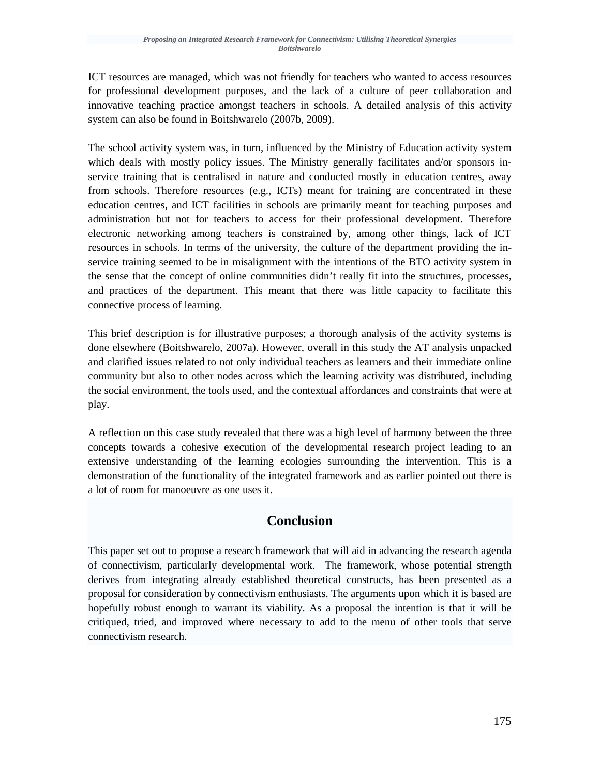ICT resources are managed, which was not friendly for teachers who wanted to access resources for professional development purposes, and the lack of a culture of peer collaboration and innovative teaching practice amongst teachers in schools. A detailed analysis of this activity system can also be found in Boitshwarelo (2007b, 2009).

The school activity system was, in turn, influenced by the Ministry of Education activity system which deals with mostly policy issues. The Ministry generally facilitates and/or sponsors inservice training that is centralised in nature and conducted mostly in education centres, away from schools. Therefore resources (e.g., ICTs) meant for training are concentrated in these education centres, and ICT facilities in schools are primarily meant for teaching purposes and administration but not for teachers to access for their professional development. Therefore electronic networking among teachers is constrained by, among other things, lack of ICT resources in schools. In terms of the university, the culture of the department providing the inservice training seemed to be in misalignment with the intentions of the BTO activity system in the sense that the concept of online communities didn't really fit into the structures, processes, and practices of the department. This meant that there was little capacity to facilitate this connective process of learning.

This brief description is for illustrative purposes; a thorough analysis of the activity systems is done elsewhere (Boitshwarelo, 2007a). However, overall in this study the AT analysis unpacked and clarified issues related to not only individual teachers as learners and their immediate online community but also to other nodes across which the learning activity was distributed, including the social environment, the tools used, and the contextual affordances and constraints that were at play.

A reflection on this case study revealed that there was a high level of harmony between the three concepts towards a cohesive execution of the developmental research project leading to an extensive understanding of the learning ecologies surrounding the intervention. This is a demonstration of the functionality of the integrated framework and as earlier pointed out there is a lot of room for manoeuvre as one uses it.

## **Conclusion**

This paper set out to propose a research framework that will aid in advancing the research agenda of connectivism, particularly developmental work. The framework, whose potential strength derives from integrating already established theoretical constructs, has been presented as a proposal for consideration by connectivism enthusiasts. The arguments upon which it is based are hopefully robust enough to warrant its viability. As a proposal the intention is that it will be critiqued, tried, and improved where necessary to add to the menu of other tools that serve connectivism research.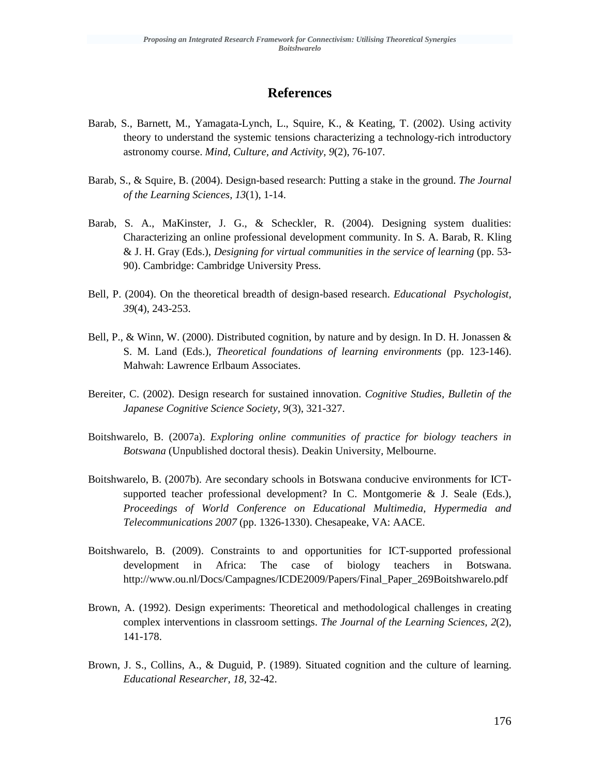## **References**

- Barab, S., Barnett, M., Yamagata-Lynch, L., Squire, K., & Keating, T. (2002). Using activity theory to understand the systemic tensions characterizing a technology-rich introductory astronomy course. *Mind, Culture, and Activity, 9*(2), 76-107.
- Barab, S., & Squire, B. (2004). Design-based research: Putting a stake in the ground. *The Journal of the Learning Sciences, 13*(1), 1-14.
- Barab, S. A., MaKinster, J. G., & Scheckler, R. (2004). Designing system dualities: Characterizing an online professional development community. In S. A. Barab, R. Kling & J. H. Gray (Eds.), *Designing for virtual communities in the service of learning* (pp. 53- 90). Cambridge: Cambridge University Press.
- Bell, P. (2004). On the theoretical breadth of design-based research. *Educational Psychologist, 39*(4), 243-253.
- Bell, P., & Winn, W. (2000). Distributed cognition, by nature and by design. In D. H. Jonassen & S. M. Land (Eds.), *Theoretical foundations of learning environments* (pp. 123-146). Mahwah: Lawrence Erlbaum Associates.
- Bereiter, C. (2002). Design research for sustained innovation. *Cognitive Studies, Bulletin of the Japanese Cognitive Science Society, 9*(3), 321-327.
- Boitshwarelo, B. (2007a). *Exploring online communities of practice for biology teachers in Botswana* (Unpublished doctoral thesis). Deakin University, Melbourne.
- Boitshwarelo, B. (2007b). Are secondary schools in Botswana conducive environments for ICTsupported teacher professional development? In C. Montgomerie & J. Seale (Eds.), *Proceedings of World Conference on Educational Multimedia, Hypermedia and Telecommunications 2007* (pp. 1326-1330). Chesapeake, VA: AACE.
- Boitshwarelo, B. (2009). Constraints to and opportunities for ICT-supported professional development in Africa: The case of biology teachers in Botswana. http://www.ou.nl/Docs/Campagnes/ICDE2009/Papers/Final\_Paper\_269Boitshwarelo.pdf
- Brown, A. (1992). Design experiments: Theoretical and methodological challenges in creating complex interventions in classroom settings. *The Journal of the Learning Sciences, 2*(2), 141-178.
- Brown, J. S., Collins, A., & Duguid, P. (1989). Situated cognition and the culture of learning. *Educational Researcher, 18*, 32-42.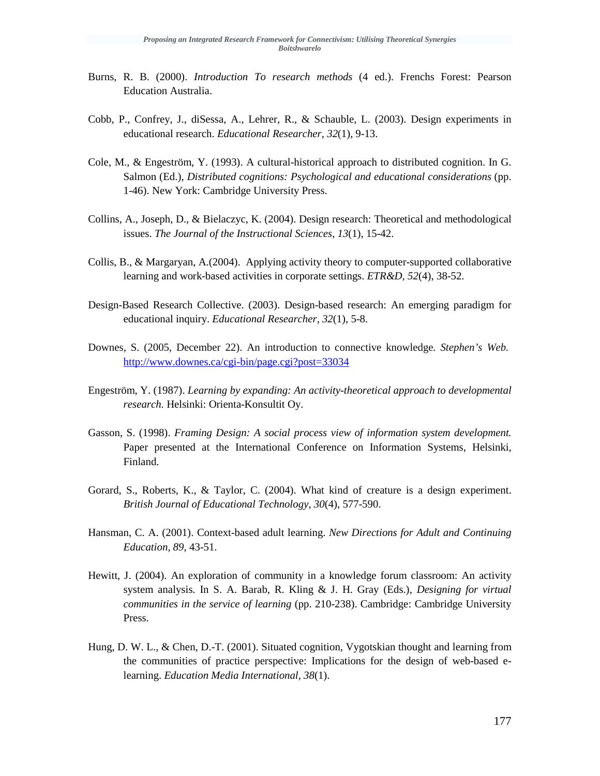- Burns, R. B. (2000). *Introduction To research methods* (4 ed.). Frenchs Forest: Pearson Education Australia.
- Cobb, P., Confrey, J., diSessa, A., Lehrer, R., & Schauble, L. (2003). Design experiments in educational research. *Educational Researcher, 32*(1), 9-13.
- Cole, M., & Engeström, Y. (1993). A cultural-historical approach to distributed cognition. In G. Salmon (Ed.), *Distributed cognitions: Psychological and educational considerations* (pp. 1-46). New York: Cambridge University Press.
- Collins, A., Joseph, D., & Bielaczyc, K. (2004). Design research: Theoretical and methodological issues. *The Journal of the Instructional Sciences, 13*(1), 15-42.
- Collis, B., & Margaryan, A.(2004). Applying activity theory to computer-supported collaborative learning and work-based activities in corporate settings. *ETR&D, 52*(4), 38-52.
- Design-Based Research Collective. (2003). Design-based research: An emerging paradigm for educational inquiry. *Educational Researcher, 32*(1), 5-8.
- Downes, S. (2005, December 22). An introduction to connective knowledge*. Stephen's Web.* <http://www.downes.ca/cgi-bin/page.cgi?post=33034>
- Engeström, Y. (1987). *Learning by expanding: An activity-theoretical approach to developmental research.* Helsinki: Orienta-Konsultit Oy.
- Gasson, S. (1998). *Framing Design: A social process view of information system development.* Paper presented at the International Conference on Information Systems, Helsinki, Finland.
- Gorard, S., Roberts, K., & Taylor, C. (2004). What kind of creature is a design experiment. *British Journal of Educational Technology, 30*(4), 577-590.
- Hansman, C. A. (2001). Context-based adult learning. *New Directions for Adult and Continuing Education, 89*, 43-51.
- Hewitt, J. (2004). An exploration of community in a knowledge forum classroom: An activity system analysis. In S. A. Barab, R. Kling & J. H. Gray (Eds.), *Designing for virtual communities in the service of learning* (pp. 210-238). Cambridge: Cambridge University Press.
- Hung, D. W. L., & Chen, D.-T. (2001). Situated cognition, Vygotskian thought and learning from the communities of practice perspective: Implications for the design of web-based elearning. *Education Media International, 38*(1).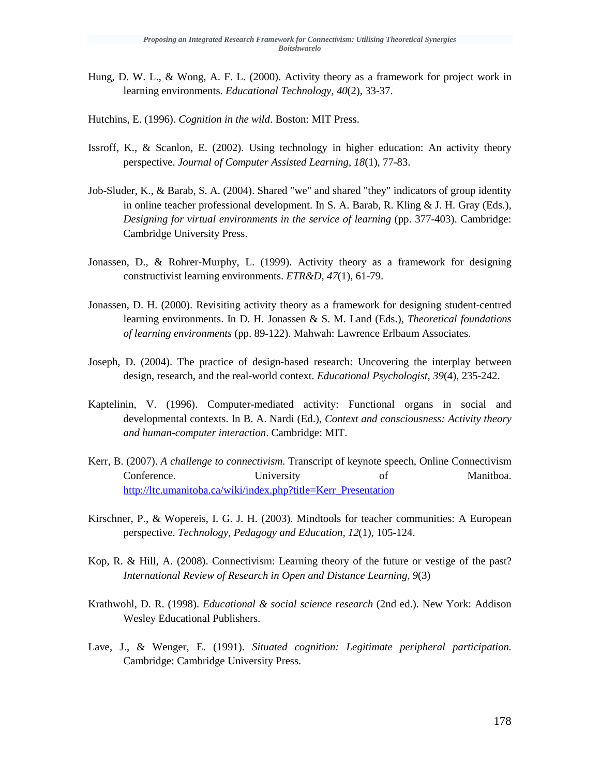- Hung, D. W. L., & Wong, A. F. L. (2000). Activity theory as a framework for project work in learning environments. *Educational Technology, 40*(2), 33-37.
- Hutchins, E. (1996). *Cognition in the wild*. Boston: MIT Press.
- Issroff, K., & Scanlon, E. (2002). Using technology in higher education: An activity theory perspective. *Journal of Computer Assisted Learning, 18*(1), 77-83.
- Job-Sluder, K., & Barab, S. A. (2004). Shared "we" and shared "they" indicators of group identity in online teacher professional development. In S. A. Barab, R. Kling & J. H. Gray (Eds.), *Designing for virtual environments in the service of learning* (pp. 377-403). Cambridge: Cambridge University Press.
- Jonassen, D., & Rohrer-Murphy, L. (1999). Activity theory as a framework for designing constructivist learning environments. *ETR&D, 47*(1), 61-79.
- Jonassen, D. H. (2000). Revisiting activity theory as a framework for designing student-centred learning environments. In D. H. Jonassen & S. M. Land (Eds.), *Theoretical foundations of learning environments* (pp. 89-122). Mahwah: Lawrence Erlbaum Associates.
- Joseph, D. (2004). The practice of design-based research: Uncovering the interplay between design, research, and the real-world context. *Educational Psychologist, 39*(4), 235-242.
- Kaptelinin, V. (1996). Computer-mediated activity: Functional organs in social and developmental contexts. In B. A. Nardi (Ed.), *Context and consciousness: Activity theory and human-computer interaction*. Cambridge: MIT.
- Kerr, B. (2007). *A challenge to connectivism*. Transcript of keynote speech, Online Connectivism Conference. University of Manitboa. [http://ltc.umanitoba.ca/wiki/index.php?title=Kerr\\_Presentation](http://ltc.umanitoba.ca/wiki/index.php?title=Kerr_Presentation)
- Kirschner, P., & Wopereis, I. G. J. H. (2003). Mindtools for teacher communities: A European perspective. *Technology, Pedagogy and Education, 12*(1), 105-124.
- Kop, R. & Hill, A. (2008). Connectivism: Learning theory of the future or vestige of the past? *International Review of Research in Open and Distance Learning*, *9*(3)
- Krathwohl, D. R. (1998). *Educational & social science research* (2nd ed.). New York: Addison Wesley Educational Publishers.
- Lave, J., & Wenger, E. (1991). *Situated cognition: Legitimate peripheral participation.* Cambridge: Cambridge University Press.